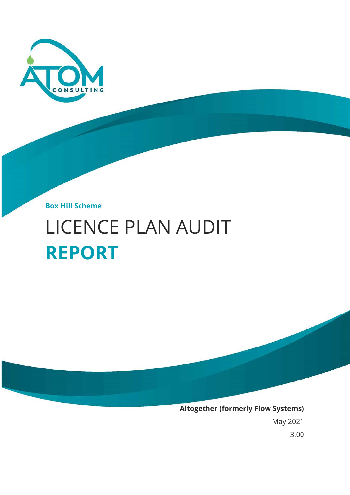

**Box Hill Scheme**

# LICENCE PLAN AUDIT **REPORT**



May 2021

3.00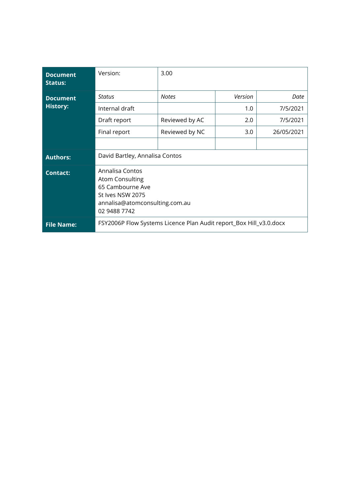| <b>Document</b><br><b>Status:</b> | Version:                                                                                                                            | 3.00           |         |            |  |
|-----------------------------------|-------------------------------------------------------------------------------------------------------------------------------------|----------------|---------|------------|--|
| <b>Document</b>                   | Status                                                                                                                              | <b>Notes</b>   | Version | Date       |  |
| <b>History:</b>                   | Internal draft                                                                                                                      |                | 1.0     | 7/5/2021   |  |
|                                   | Draft report                                                                                                                        | Reviewed by AC | 2.0     | 7/5/2021   |  |
|                                   | Final report                                                                                                                        | Reviewed by NC | 3.0     | 26/05/2021 |  |
|                                   |                                                                                                                                     |                |         |            |  |
| <b>Authors:</b>                   | David Bartley, Annalisa Contos                                                                                                      |                |         |            |  |
| <b>Contact:</b>                   | Annalisa Contos<br><b>Atom Consulting</b><br>65 Cambourne Ave<br>St Ives NSW 2075<br>annalisa@atomconsulting.com.au<br>02 9488 7742 |                |         |            |  |
| <b>File Name:</b>                 | FSY2006P Flow Systems Licence Plan Audit report_Box Hill_v3.0.docx                                                                  |                |         |            |  |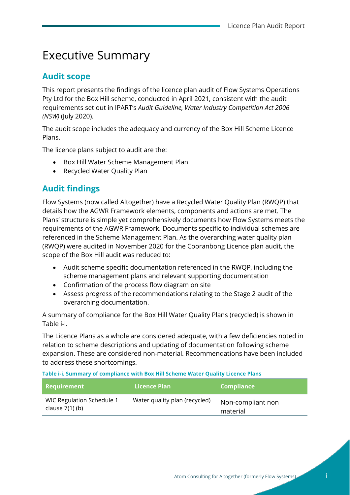## Executive Summary

### **Audit scope**

This report presents the findings of the licence plan audit of Flow Systems Operations Pty Ltd for the Box Hill scheme, conducted in April 2021, consistent with the audit requirements set out in IPART's *Audit Guideline, Water Industry Competition Act 2006 (NSW)* (July 2020).

The audit scope includes the adequacy and currency of the Box Hill Scheme Licence Plans.

The licence plans subject to audit are the:

- Box Hill Water Scheme Management Plan
- Recycled Water Quality Plan

### **Audit findings**

Flow Systems (now called Altogether) have a Recycled Water Quality Plan (RWQP) that details how the AGWR Framework elements, components and actions are met. The Plans' structure is simple yet comprehensively documents how Flow Systems meets the requirements of the AGWR Framework. Documents specific to individual schemes are referenced in the Scheme Management Plan. As the overarching water quality plan (RWQP) were audited in November 2020 for the Cooranbong Licence plan audit, the scope of the Box Hill audit was reduced to:

- Audit scheme specific documentation referenced in the RWQP, including the scheme management plans and relevant supporting documentation
- Confirmation of the process flow diagram on site
- Assess progress of the recommendations relating to the Stage 2 audit of the overarching documentation.

A summary of compliance for the Box Hill Water Quality Plans (recycled) is shown in [Table i-i.](#page-2-0)

The Licence Plans as a whole are considered adequate, with a few deficiencies noted in relation to scheme descriptions and updating of documentation following scheme expansion. These are considered non-material. Recommendations have been included to address these shortcomings.

<span id="page-2-0"></span>**Table i-i. Summary of compliance with Box Hill Scheme Water Quality Licence Plans** 

| <b>Requirement</b>                             | Licence Plan                  | <b>Compliance</b>             |
|------------------------------------------------|-------------------------------|-------------------------------|
| WIC Regulation Schedule 1<br>clause $7(1)$ (b) | Water quality plan (recycled) | Non-compliant non<br>material |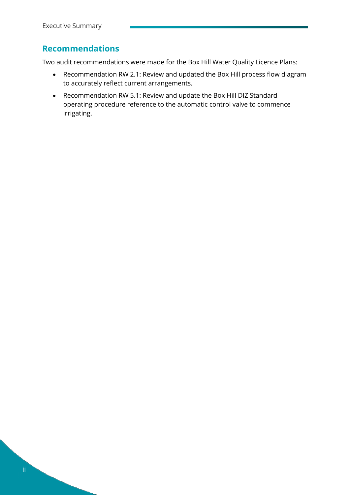### **Recommendations**

Two audit recommendations were made for the Box Hill Water Quality Licence Plans:

- Recommendation RW 2.1: Review and updated the Box Hill process flow diagram to accurately reflect current arrangements.
- Recommendation RW 5.1: Review and update the Box Hill DIZ Standard operating procedure reference to the automatic control valve to commence irrigating.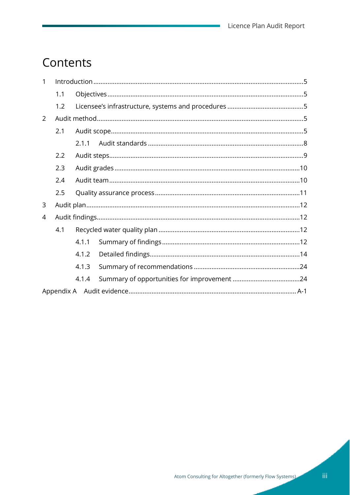÷

## Contents

| $\mathbf{1}$ |     |       |  |  |  |  |  |
|--------------|-----|-------|--|--|--|--|--|
|              | 1.1 |       |  |  |  |  |  |
|              | 1.2 |       |  |  |  |  |  |
| $\mathbf{2}$ |     |       |  |  |  |  |  |
|              | 2.1 |       |  |  |  |  |  |
|              |     | 2.1.1 |  |  |  |  |  |
|              | 2.2 |       |  |  |  |  |  |
|              | 2.3 |       |  |  |  |  |  |
|              | 2.4 |       |  |  |  |  |  |
|              | 2.5 |       |  |  |  |  |  |
| 3            |     |       |  |  |  |  |  |
| 4            |     |       |  |  |  |  |  |
|              | 4.1 |       |  |  |  |  |  |
|              |     | 4.1.1 |  |  |  |  |  |
|              |     | 4.1.2 |  |  |  |  |  |
|              |     | 4.1.3 |  |  |  |  |  |
|              |     | 4.1.4 |  |  |  |  |  |
|              |     |       |  |  |  |  |  |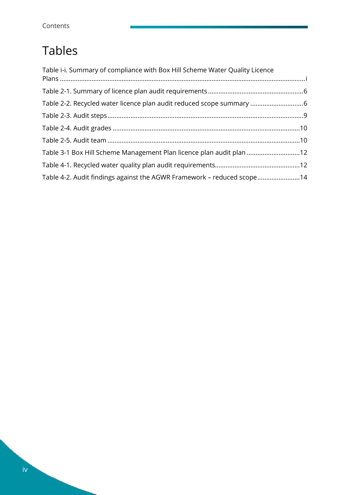## Tables

| Table i-i. Summary of compliance with Box Hill Scheme Water Quality Licence |  |
|-----------------------------------------------------------------------------|--|
|                                                                             |  |
| Table 2-2. Recycled water licence plan audit reduced scope summary 6        |  |
|                                                                             |  |
|                                                                             |  |
|                                                                             |  |
| Table 3-1 Box Hill Scheme Management Plan licence plan audit plan 12        |  |
|                                                                             |  |
| Table 4-2. Audit findings against the AGWR Framework - reduced scope14      |  |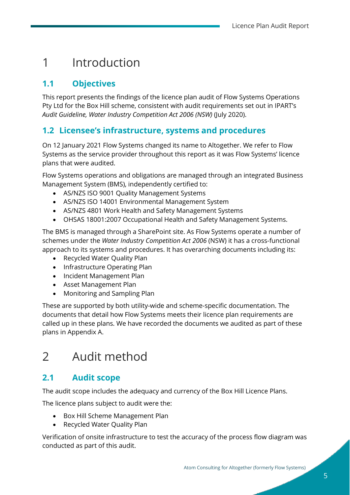## <span id="page-6-0"></span>1 Introduction

## <span id="page-6-1"></span>**1.1 Objectives**

This report presents the findings of the licence plan audit of Flow Systems Operations Pty Ltd for the Box Hill scheme, consistent with audit requirements set out in IPART's *Audit Guideline, Water Industry Competition Act 2006 (NSW)* (July 2020).

### <span id="page-6-2"></span>**1.2 Licensee's infrastructure, systems and procedures**

On 12 January 2021 Flow Systems changed its name to Altogether. We refer to Flow Systems as the service provider throughout this report as it was Flow Systems' licence plans that were audited.

Flow Systems operations and obligations are managed through an integrated Business Management System (BMS), independently certified to:

- AS/NZS ISO 9001 Quality Management Systems
- AS/NZS ISO 14001 Environmental Management System
- AS/NZS 4801 Work Health and Safety Management Systems
- OHSAS 18001:2007 Occupational Health and Safety Management Systems.

The BMS is managed through a SharePoint site. As Flow Systems operate a number of schemes under the *Water Industry Competition Act 2006* (NSW) it has a cross-functional approach to its systems and procedures. It has overarching documents including its:

- Recycled Water Quality Plan
- Infrastructure Operating Plan
- Incident Management Plan
- Asset Management Plan
- Monitoring and Sampling Plan

These are supported by both utility-wide and scheme-specific documentation. The documents that detail how Flow Systems meets their licence plan requirements are called up in these plans. We have recorded the documents we audited as part of these plans in Appendix A.

## <span id="page-6-3"></span>2 Audit method

### <span id="page-6-4"></span>**2.1 Audit scope**

The audit scope includes the adequacy and currency of the Box Hill Licence Plans.

The licence plans subject to audit were the:

- Box Hill Scheme Management Plan
- Recycled Water Quality Plan

Verification of onsite infrastructure to test the accuracy of the process flow diagram was conducted as part of this audit.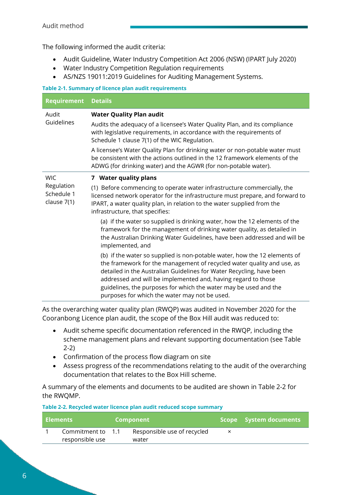The following informed the audit criteria:

- Audit Guideline, Water Industry Competition Act 2006 (NSW) (IPART July 2020)
- Water Industry Competition Regulation requirements
- AS/NZS 19011:2019 Guidelines for Auditing Management Systems.

#### **Table 2-1. Summary of licence plan audit requirements**

| <b>Requirement</b>                      | <b>Details</b>                                                                                                                                                                                                                                                                                                                                                                                                    |
|-----------------------------------------|-------------------------------------------------------------------------------------------------------------------------------------------------------------------------------------------------------------------------------------------------------------------------------------------------------------------------------------------------------------------------------------------------------------------|
| Audit                                   | <b>Water Quality Plan audit</b>                                                                                                                                                                                                                                                                                                                                                                                   |
| Guidelines                              | Audits the adequacy of a licensee's Water Quality Plan, and its compliance<br>with legislative requirements, in accordance with the requirements of<br>Schedule 1 clause 7(1) of the WIC Regulation.                                                                                                                                                                                                              |
|                                         | A licensee's Water Quality Plan for drinking water or non-potable water must<br>be consistent with the actions outlined in the 12 framework elements of the<br>ADWG (for drinking water) and the AGWR (for non-potable water).                                                                                                                                                                                    |
| <b>WIC</b>                              | 7 Water quality plans                                                                                                                                                                                                                                                                                                                                                                                             |
| Regulation<br>Schedule 1<br>clause 7(1) | (1) Before commencing to operate water infrastructure commercially, the<br>licensed network operator for the infrastructure must prepare, and forward to<br>IPART, a water quality plan, in relation to the water supplied from the<br>infrastructure, that specifies:                                                                                                                                            |
|                                         | (a) if the water so supplied is drinking water, how the 12 elements of the<br>framework for the management of drinking water quality, as detailed in<br>the Australian Drinking Water Guidelines, have been addressed and will be<br>implemented, and                                                                                                                                                             |
|                                         | (b) if the water so supplied is non-potable water, how the 12 elements of<br>the framework for the management of recycled water quality and use, as<br>detailed in the Australian Guidelines for Water Recycling, have been<br>addressed and will be implemented and, having regard to those<br>guidelines, the purposes for which the water may be used and the<br>purposes for which the water may not be used. |

As the overarching water quality plan (RWQP) was audited in November 2020 for the Cooranbong Licence plan audit, the scope of the Box Hill audit was reduced to:

- Audit scheme specific documentation referenced in the RWQP, including the scheme management plans and relevant supporting documentation (se[e Table](#page-7-0)  [2-2\)](#page-7-0)
- Confirmation of the process flow diagram on site
- Assess progress of the recommendations relating to the audit of the overarching documentation that relates to the Box Hill scheme.

A summary of the elements and documents to be audited are shown in [Table 2-2](#page-7-0) for the RWQMP.

<span id="page-7-0"></span>

| Table 2-2. Recycled water licence plan audit reduced scope summary |  |  |
|--------------------------------------------------------------------|--|--|
|--------------------------------------------------------------------|--|--|

| <b>Elements</b>   | Component                   | Scope System documents |
|-------------------|-----------------------------|------------------------|
| Commitment to 1.1 | Responsible use of recycled |                        |
| responsible use   | water                       |                        |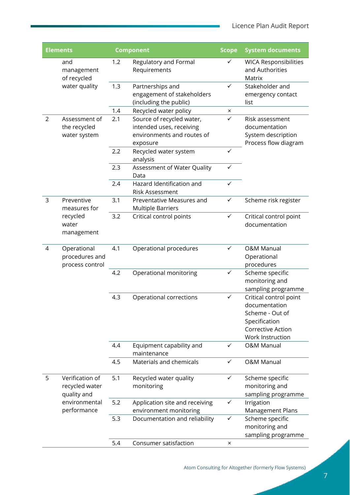ï

| <b>Elements</b> |                                                  | <b>Component</b> |                                                                                                 | <b>Scope</b> | <b>System documents</b>                                                                                              |
|-----------------|--------------------------------------------------|------------------|-------------------------------------------------------------------------------------------------|--------------|----------------------------------------------------------------------------------------------------------------------|
|                 | and<br>management<br>of recycled                 | 1.2              | Regulatory and Formal<br>Requirements                                                           | ✓            | <b>WICA Responsibilities</b><br>and Authorities<br>Matrix                                                            |
|                 | water quality                                    | 1.3              | Partnerships and<br>engagement of stakeholders<br>(including the public)                        | ✓            | Stakeholder and<br>emergency contact<br>list                                                                         |
|                 |                                                  | 1.4              | Recycled water policy                                                                           | ×            |                                                                                                                      |
| $\overline{2}$  | Assessment of<br>the recycled<br>water system    | 2.1              | Source of recycled water,<br>intended uses, receiving<br>environments and routes of<br>exposure | ✓            | Risk assessment<br>documentation<br>System description<br>Process flow diagram                                       |
|                 |                                                  | 2.2              | Recycled water system<br>analysis                                                               | $\checkmark$ |                                                                                                                      |
|                 |                                                  | 2.3              | Assessment of Water Quality<br>Data                                                             | ✓            |                                                                                                                      |
|                 |                                                  | 2.4              | Hazard Identification and<br><b>Risk Assessment</b>                                             | $\checkmark$ |                                                                                                                      |
| 3               | Preventive<br>measures for                       | 3.1              | Preventative Measures and<br><b>Multiple Barriers</b>                                           | ✓            | Scheme risk register                                                                                                 |
|                 | recycled<br>water<br>management                  | 3.2              | Critical control points                                                                         | ✓            | Critical control point<br>documentation                                                                              |
| 4               | Operational<br>procedures and<br>process control | 4.1              | Operational procedures                                                                          | ✓            | <b>O&amp;M Manual</b><br>Operational<br>procedures                                                                   |
|                 |                                                  | 4.2              | Operational monitoring                                                                          | ✓            | Scheme specific<br>monitoring and<br>sampling programme                                                              |
|                 |                                                  | 4.3              | Operational corrections                                                                         | $\checkmark$ | Critical control point<br>documentation<br>Scheme - Out of<br>Specification<br>Corrective Action<br>Work Instruction |
|                 |                                                  | 4.4              | Equipment capability and<br>maintenance                                                         | ✓            | <b>O&amp;M Manual</b>                                                                                                |
|                 |                                                  | 4.5              | Materials and chemicals                                                                         | ✓            | <b>O&amp;M Manual</b>                                                                                                |
| 5               | Verification of<br>recycled water<br>quality and | 5.1              | Recycled water quality<br>monitoring                                                            | ✓            | Scheme specific<br>monitoring and<br>sampling programme                                                              |
|                 | environmental<br>performance                     | 5.2              | Application site and receiving<br>environment monitoring                                        | ✓            | Irrigation<br>Management Plans                                                                                       |
|                 |                                                  | 5.3              | Documentation and reliability                                                                   | ✓            | Scheme specific<br>monitoring and<br>sampling programme                                                              |
|                 |                                                  | 5.4              | Consumer satisfaction                                                                           | ×            |                                                                                                                      |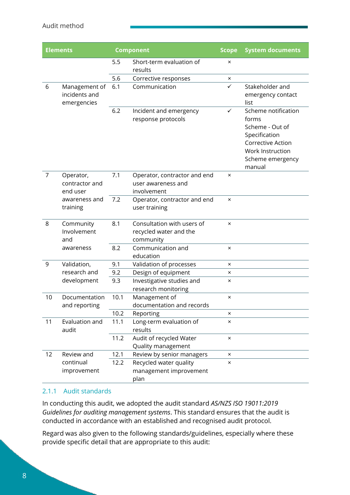#### Audit method

| <b>Elements</b> |                                               |      | <b>Component</b>                                                  | <b>Scope</b>   | <b>System documents</b>                                                                                                                 |
|-----------------|-----------------------------------------------|------|-------------------------------------------------------------------|----------------|-----------------------------------------------------------------------------------------------------------------------------------------|
|                 |                                               | 5.5  | Short-term evaluation of<br>results                               | $\times$       |                                                                                                                                         |
|                 |                                               | 5.6  | Corrective responses                                              | ×              |                                                                                                                                         |
| 6               | Management of<br>incidents and<br>emergencies | 6.1  | Communication                                                     | $\checkmark$   | Stakeholder and<br>emergency contact<br>list                                                                                            |
|                 |                                               | 6.2  | Incident and emergency<br>response protocols                      | ✓              | Scheme notification<br>forms<br>Scheme - Out of<br>Specification<br>Corrective Action<br>Work Instruction<br>Scheme emergency<br>manual |
| $\overline{7}$  | Operator,<br>contractor and<br>end user       | 7.1  | Operator, contractor and end<br>user awareness and<br>involvement | $\pmb{\times}$ |                                                                                                                                         |
|                 | awareness and<br>training                     | 7.2  | Operator, contractor and end<br>user training                     | $\times$       |                                                                                                                                         |
| 8               | Community<br>Involvement<br>and               | 8.1  | Consultation with users of<br>recycled water and the<br>community | $\times$       |                                                                                                                                         |
|                 | awareness                                     | 8.2  | Communication and<br>education                                    | $\times$       |                                                                                                                                         |
| 9               | Validation,                                   | 9.1  | Validation of processes                                           | $\times$       |                                                                                                                                         |
|                 | research and<br>development                   | 9.2  | Design of equipment                                               | ×              |                                                                                                                                         |
|                 |                                               | 9.3  | Investigative studies and<br>research monitoring                  | ×              |                                                                                                                                         |
| 10              | Documentation<br>and reporting                | 10.1 | Management of<br>documentation and records                        | $\times$       |                                                                                                                                         |
|                 |                                               | 10.2 | Reporting                                                         | ×              |                                                                                                                                         |
| 11              | Evaluation and<br>audit                       | 11.1 | Long-term evaluation of<br>results                                | $\times$       |                                                                                                                                         |
|                 |                                               | 11.2 | Audit of recycled Water<br>Quality management                     | $\times$       |                                                                                                                                         |
| 12              | Review and                                    | 12.1 | Review by senior managers                                         | $\times$       |                                                                                                                                         |
|                 | continual<br>improvement                      | 12.2 | Recycled water quality<br>management improvement<br>plan          | ×              |                                                                                                                                         |

#### <span id="page-9-0"></span>2.1.1 Audit standards

In conducting this audit, we adopted the audit standard *AS/NZS ISO 19011:2019 Guidelines for auditing management systems*. This standard ensures that the audit is conducted in accordance with an established and recognised audit protocol.

Regard was also given to the following standards/guidelines, especially where these provide specific detail that are appropriate to this audit: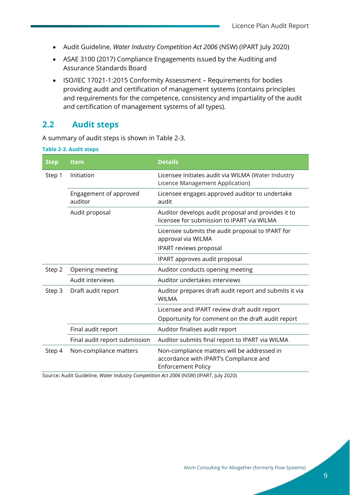- Audit Guideline, *Water Industry Competition Act 2006* (NSW) (IPART July 2020)
- ASAE 3100 (2017) Compliance Engagements issued by the Auditing and Assurance Standards Board
- ISO/IEC 17021-1:2015 Conformity Assessment Requirements for bodies providing audit and certification of management systems (contains principles and requirements for the competence, consistency and impartiality of the audit and certification of management systems of all types).

### <span id="page-10-0"></span>**2.2 Audit steps**

A summary of audit steps is shown in [Table 2-3.](#page-10-1)

<span id="page-10-1"></span>

| <b>Step</b> | Item                              | <b>Details</b>                                                                                                     |
|-------------|-----------------------------------|--------------------------------------------------------------------------------------------------------------------|
| Step 1      | Initiation                        | Licensee initiates audit via WILMA (Water Industry<br>Licence Management Application)                              |
|             | Engagement of approved<br>auditor | Licensee engages approved auditor to undertake<br>audit                                                            |
|             | Audit proposal                    | Auditor develops audit proposal and provides it to<br>licensee for submission to IPART via WILMA                   |
|             |                                   | Licensee submits the audit proposal to IPART for<br>approval via WILMA                                             |
|             |                                   | IPART reviews proposal                                                                                             |
|             |                                   | IPART approves audit proposal                                                                                      |
| Step 2      | Opening meeting                   | Auditor conducts opening meeting                                                                                   |
|             | Audit interviews                  | Auditor undertakes interviews                                                                                      |
| Step 3      | Draft audit report                | Auditor prepares draft audit report and submits it via<br><b>WILMA</b>                                             |
|             |                                   | Licensee and IPART review draft audit report                                                                       |
|             |                                   | Opportunity for comment on the draft audit report                                                                  |
|             | Final audit report                | Auditor finalises audit report                                                                                     |
|             | Final audit report submission     | Auditor submits final report to IPART via WILMA                                                                    |
| Step 4      | Non-compliance matters            | Non-compliance matters will be addressed in<br>accordance with IPART's Compliance and<br><b>Enforcement Policy</b> |

Source**:** Audit Guideline, *Water Industry Competition Act 2006* (NSW) (IPART, July 2020)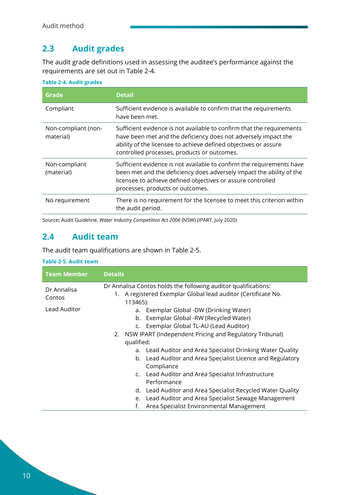## <span id="page-11-0"></span>**2.3 Audit grades**

The audit grade definitions used in assessing the auditee's performance against the requirements are set out in [Table 2-4.](#page-11-2)

| Grade                            | <b>Detail</b>                                                                                                                                                                                                                                             |
|----------------------------------|-----------------------------------------------------------------------------------------------------------------------------------------------------------------------------------------------------------------------------------------------------------|
| Compliant                        | Sufficient evidence is available to confirm that the requirements<br>have been met.                                                                                                                                                                       |
| Non-compliant (non-<br>material) | Sufficient evidence is not available to confirm that the requirements<br>have been met and the deficiency does not adversely impact the<br>ability of the licensee to achieve defined objectives or assure<br>controlled processes, products or outcomes. |
| Non-compliant<br>(material)      | Sufficient evidence is not available to confirm the requirements have<br>been met and the deficiency does adversely impact the ability of the<br>licensee to achieve defined objectives or assure controlled<br>processes, products or outcomes.          |
| No requirement                   | There is no requirement for the licensee to meet this criterion within<br>the audit period.                                                                                                                                                               |

#### <span id="page-11-2"></span>**Table 2-4. Audit grades**

Source**:** Audit Guideline, *Water Industry Competition Act 2006* (NSW) (IPART, July 2020)

### <span id="page-11-1"></span>**2.4 Audit team**

The audit team qualifications are shown in [Table 2-5.](#page-11-3)

#### <span id="page-11-3"></span>**Table 2-5. Audit team**

| Team Member           | <b>Details</b>                                                                                                                                                                                       |  |  |
|-----------------------|------------------------------------------------------------------------------------------------------------------------------------------------------------------------------------------------------|--|--|
| Dr Annalisa<br>Contos | Dr Annalisa Contos holds the following auditor qualifications:<br>1. A registered Exemplar Global lead auditor (Certificate No.<br>113465):                                                          |  |  |
| Lead Auditor          | Exemplar Global -DW (Drinking Water)<br>a.<br>Exemplar Global -RW (Recycled Water)<br>b.<br>Exemplar Global TL-AU (Lead Auditor)<br>C.<br>2. NSW IPART (Independent Pricing and Regulatory Tribunal) |  |  |
|                       | qualified:<br>Lead Auditor and Area Specialist Drinking Water Quality<br>a.                                                                                                                          |  |  |
|                       | b. Lead Auditor and Area Specialist Licence and Regulatory<br>Compliance                                                                                                                             |  |  |
|                       | c. Lead Auditor and Area Specialist Infrastructure<br>Performance                                                                                                                                    |  |  |
|                       | d. Lead Auditor and Area Specialist Recycled Water Quality                                                                                                                                           |  |  |
|                       | Lead Auditor and Area Specialist Sewage Management<br>e.<br>Area Specialist Environmental Management<br>f.                                                                                           |  |  |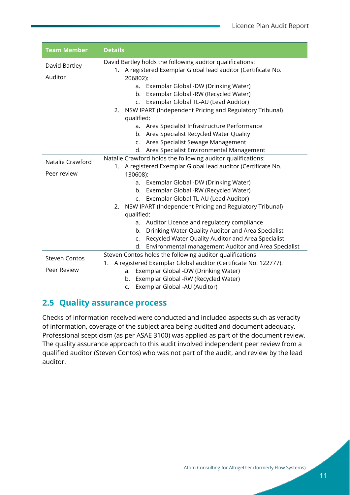| <b>Team Member</b>   | <b>Details</b>                                                           |  |
|----------------------|--------------------------------------------------------------------------|--|
| David Bartley        | David Bartley holds the following auditor qualifications:                |  |
|                      | 1. A registered Exemplar Global lead auditor (Certificate No.            |  |
| Auditor              | 206802):                                                                 |  |
|                      | Exemplar Global -DW (Drinking Water)<br>a.                               |  |
|                      | Exemplar Global -RW (Recycled Water)<br>b.                               |  |
|                      | Exemplar Global TL-AU (Lead Auditor)<br>C <sub>1</sub>                   |  |
|                      | 2. NSW IPART (Independent Pricing and Regulatory Tribunal)<br>qualified: |  |
|                      | Area Specialist Infrastructure Performance<br>a.                         |  |
|                      | b. Area Specialist Recycled Water Quality                                |  |
|                      | Area Specialist Sewage Management<br>$C_{\bullet}$                       |  |
|                      | d. Area Specialist Environmental Management                              |  |
| Natalie Crawford     | Natalie Crawford holds the following auditor qualifications:             |  |
|                      | 1. A registered Exemplar Global lead auditor (Certificate No.            |  |
| Peer review          | 130608):                                                                 |  |
|                      | Exemplar Global -DW (Drinking Water)<br>а.                               |  |
|                      | Exemplar Global -RW (Recycled Water)<br>b.                               |  |
|                      | Exemplar Global TL-AU (Lead Auditor)<br>$\mathsf{C}$ .                   |  |
|                      | NSW IPART (Independent Pricing and Regulatory Tribunal)<br>2.            |  |
|                      | qualified:                                                               |  |
|                      | Auditor Licence and regulatory compliance<br>a.                          |  |
|                      | Drinking Water Quality Auditor and Area Specialist<br>b.                 |  |
|                      | Recycled Water Quality Auditor and Area Specialist<br>c.                 |  |
|                      | d. Environmental management Auditor and Area Specialist                  |  |
| <b>Steven Contos</b> | Steven Contos holds the following auditor qualifications                 |  |
|                      | A registered Exemplar Global auditor (Certificate No. 122777):<br>1.     |  |
| Peer Review          | Exemplar Global -DW (Drinking Water)<br>a.                               |  |
|                      | Exemplar Global -RW (Recycled Water)<br>b.                               |  |
|                      | Exemplar Global -AU (Auditor)<br>C.                                      |  |

## <span id="page-12-0"></span>**2.5 Quality assurance process**

Checks of information received were conducted and included aspects such as veracity of information, coverage of the subject area being audited and document adequacy. Professional scepticism (as per ASAE 3100) was applied as part of the document review. The quality assurance approach to this audit involved independent peer review from a qualified auditor (Steven Contos) who was not part of the audit, and review by the lead auditor.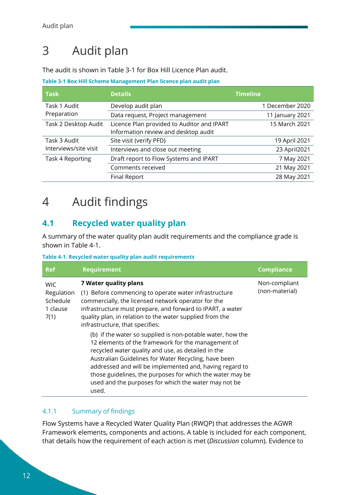## <span id="page-13-0"></span>3 Audit plan

The audit is shown in [Table 3-1](#page-13-4) for Box Hill Licence Plan audit.

<span id="page-13-4"></span>**Table 3-1 Box Hill Scheme Management Plan licence plan audit plan**

| <b>Task</b>           | <b>Details</b>                             | Timeline        |
|-----------------------|--------------------------------------------|-----------------|
| Task 1 Audit          | Develop audit plan                         | 1 December 2020 |
| Preparation           | Data request, Project management           | 11 January 2021 |
| Task 2 Desktop Audit  | Licence Plan provided to Auditor and IPART | 15 March 2021   |
|                       | Information review and desktop audit       |                 |
| Task 3 Audit          | Site visit (verify PFD)                    | 19 April 2021   |
| Interviews/site visit | Interviews and close out meeting           | 23 April 2021   |
| Task 4 Reporting      | Draft report to Flow Systems and IPART     | 7 May 2021      |
|                       | Comments received                          | 21 May 2021     |
|                       | Final Report                               | 28 May 2021     |

## <span id="page-13-1"></span>4 Audit findings

### <span id="page-13-2"></span>**4.1 Recycled water quality plan**

A summary of the water quality plan audit requirements and the compliance grade is shown in [Table 4-1.](#page-13-5)

<span id="page-13-5"></span>**Table 4-1. Recycled water quality plan audit requirements**

| <b>Ref</b>                                               | <b>Requirement</b>                                                                                                                                                                                                                                                                                                                                                                                                                                                                                                                                                                                                                                                                                                            | <b>Compliance</b>               |
|----------------------------------------------------------|-------------------------------------------------------------------------------------------------------------------------------------------------------------------------------------------------------------------------------------------------------------------------------------------------------------------------------------------------------------------------------------------------------------------------------------------------------------------------------------------------------------------------------------------------------------------------------------------------------------------------------------------------------------------------------------------------------------------------------|---------------------------------|
| <b>WIC</b><br>Regulation<br>Schedule<br>1 clause<br>7(1) | 7 Water quality plans<br>(1) Before commencing to operate water infrastructure<br>commercially, the licensed network operator for the<br>infrastructure must prepare, and forward to IPART, a water<br>quality plan, in relation to the water supplied from the<br>infrastructure, that specifies:<br>(b) if the water so supplied is non-potable water, how the<br>12 elements of the framework for the management of<br>recycled water quality and use, as detailed in the<br>Australian Guidelines for Water Recycling, have been<br>addressed and will be implemented and, having regard to<br>those guidelines, the purposes for which the water may be<br>used and the purposes for which the water may not be<br>used. | Non-compliant<br>(non-material) |

#### <span id="page-13-3"></span>4.1.1 Summary of findings

Flow Systems have a Recycled Water Quality Plan (RWQP) that addresses the AGWR Framework elements, components and actions. A table is included for each component, that details how the requirement of each action is met (*Discussion* column). Evidence to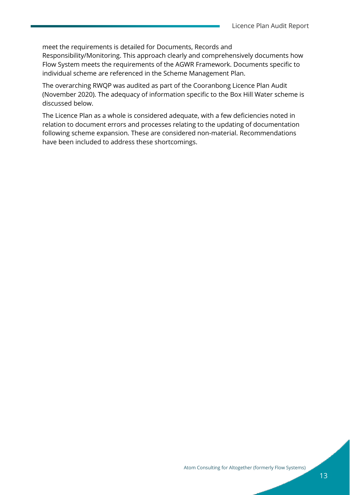meet the requirements is detailed for Documents, Records and Responsibility/Monitoring. This approach clearly and comprehensively documents how Flow System meets the requirements of the AGWR Framework. Documents specific to individual scheme are referenced in the Scheme Management Plan.

The overarching RWQP was audited as part of the Cooranbong Licence Plan Audit (November 2020). The adequacy of information specific to the Box Hill Water scheme is discussed below.

The Licence Plan as a whole is considered adequate, with a few deficiencies noted in relation to document errors and processes relating to the updating of documentation following scheme expansion. These are considered non-material. Recommendations have been included to address these shortcomings.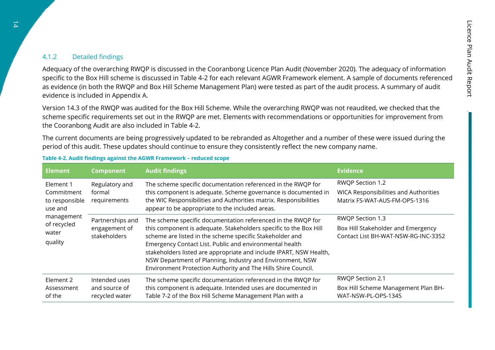#### 4.1.2 Detailed findings

Adequacy of the overarching RWQP is discussed in the Cooranbong Licence Plan Audit (November 2020). The adequacy of information specific to the Box Hill scheme is discussed in [Table 4-2](#page-15-1) for each relevant AGWR Framework element. A sample of documents referenced as evidence (in both the RWQP and Box Hill Scheme Management Plan) were tested as part of the audit process. A summary of audit evidence is included in [Appendix A.](#page-26-1)

Version 14.3 of the RWQP was audited for the Box Hill Scheme. While the overarching RWQP was not reaudited, we checked that the scheme specific requirements set out in the RWQP are met. Elements with recommendations or opportunities for improvement from the Cooranbong Audit are also included in [Table 4-2.](#page-15-1)

The current documents are being progressively updated to be rebranded as Altogether and a number of these were issued during the period of this audit. These updates should continue to ensure they consistently reflect the new company name.

<span id="page-15-0"></span>

| <b>Element</b>                                                                                        | <b>Component</b>                                  | <b>Audit findings</b>                                                                                                                                                                                                                                                                                                                                                                                                                                        | <b>Evidence</b>                                                                               |
|-------------------------------------------------------------------------------------------------------|---------------------------------------------------|--------------------------------------------------------------------------------------------------------------------------------------------------------------------------------------------------------------------------------------------------------------------------------------------------------------------------------------------------------------------------------------------------------------------------------------------------------------|-----------------------------------------------------------------------------------------------|
| Element 1<br>Commitment<br>to responsible<br>use and<br>management<br>of recycled<br>water<br>quality | Regulatory and<br>formal<br>requirements          | The scheme specific documentation referenced in the RWQP for<br>this component is adequate. Scheme governance is documented in<br>the WIC Responsibilities and Authorities matrix. Responsibilities<br>appear to be appropriate to the included areas.                                                                                                                                                                                                       | RWQP Section 1.2<br>WICA Responsibilities and Authorities<br>Matrix FS-WAT-AUS-FM-OPS-1316    |
|                                                                                                       | Partnerships and<br>engagement of<br>stakeholders | The scheme specific documentation referenced in the RWQP for<br>this component is adequate. Stakeholders specific to the Box Hill<br>scheme are listed in the scheme specific Stakeholder and<br>Emergency Contact List. Public and environmental health<br>stakeholders listed are appropriate and include IPART, NSW Health,<br>NSW Department of Planning, Industry and Environment, NSW<br>Environment Protection Authority and The Hills Shire Council. | RWQP Section 1.3<br>Box Hill Stakeholder and Emergency<br>Contact List BH-WAT-NSW-RG-INC-3352 |
| Element 2<br>Assessment<br>of the                                                                     | Intended uses<br>and source of<br>recycled water  | The scheme specific documentation referenced in the RWQP for<br>this component is adequate. Intended uses are documented in<br>Table 7-2 of the Box Hill Scheme Management Plan with a                                                                                                                                                                                                                                                                       | RWQP Section 2.1<br>Box Hill Scheme Management Plan BH-<br>WAT-NSW-PL-OPS-1345                |

#### <span id="page-15-1"></span>**Table 4-2. Audit findings against the AGWR Framework – reduced scope**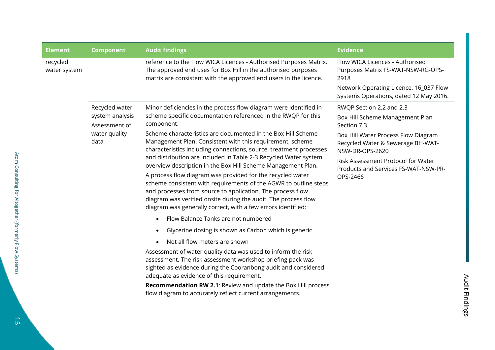| reference to the Flow WICA Licences - Authorised Purposes Matrix.<br>Flow WICA Licences - Authorised<br>recycled<br>The approved end uses for Box Hill in the authorised purposes<br>Purposes Matrix FS-WAT-NSW-RG-OPS-<br>water system<br>matrix are consistent with the approved end users in the licence.<br>2918<br>Systems Operations, dated 12 May 2016.<br>Minor deficiencies in the process flow diagram were identified in<br>Recycled water<br>RWQP Section 2.2 and 2.3<br>scheme specific documentation referenced in the RWQP for this<br>system analysis<br>Box Hill Scheme Management Plan<br>component.<br>Assessment of<br>Section 7.3<br>Scheme characteristics are documented in the Box Hill Scheme<br>water quality<br>Box Hill Water Process Flow Diagram<br>Management Plan. Consistent with this requirement, scheme<br>data<br>Recycled Water & Sewerage BH-WAT-<br>characteristics including connections, source, treatment processes<br>NSW-DR-OPS-2620<br>and distribution are included in Table 2-3 Recycled Water system<br>Risk Assessment Protocol for Water<br>overview description in the Box Hill Scheme Management Plan.<br>Products and Services FS-WAT-NSW-PR-<br>A process flow diagram was provided for the recycled water<br>OPS-2466<br>scheme consistent with requirements of the AGWR to outline steps<br>and processes from source to application. The process flow<br>diagram was verified onsite during the audit. The process flow<br>diagram was generally correct, with a few errors identified:<br>Flow Balance Tanks are not numbered<br>Glycerine dosing is shown as Carbon which is generic<br>Not all flow meters are shown<br>Assessment of water quality data was used to inform the risk<br>assessment. The risk assessment workshop briefing pack was<br>sighted as evidence during the Cooranbong audit and considered<br>adequate as evidence of this requirement.<br>Recommendation RW 2.1: Review and update the Box Hill process<br>flow diagram to accurately reflect current arrangements. | <b>Element</b> | <b>Component</b> | <b>Audit findings</b> | <b>Evidence</b>                        |  |
|-------------------------------------------------------------------------------------------------------------------------------------------------------------------------------------------------------------------------------------------------------------------------------------------------------------------------------------------------------------------------------------------------------------------------------------------------------------------------------------------------------------------------------------------------------------------------------------------------------------------------------------------------------------------------------------------------------------------------------------------------------------------------------------------------------------------------------------------------------------------------------------------------------------------------------------------------------------------------------------------------------------------------------------------------------------------------------------------------------------------------------------------------------------------------------------------------------------------------------------------------------------------------------------------------------------------------------------------------------------------------------------------------------------------------------------------------------------------------------------------------------------------------------------------------------------------------------------------------------------------------------------------------------------------------------------------------------------------------------------------------------------------------------------------------------------------------------------------------------------------------------------------------------------------------------------------------------------------------------------------------------------------------------------------------------------|----------------|------------------|-----------------------|----------------------------------------|--|
|                                                                                                                                                                                                                                                                                                                                                                                                                                                                                                                                                                                                                                                                                                                                                                                                                                                                                                                                                                                                                                                                                                                                                                                                                                                                                                                                                                                                                                                                                                                                                                                                                                                                                                                                                                                                                                                                                                                                                                                                                                                             |                |                  |                       | Network Operating Licence, 16_037 Flow |  |
|                                                                                                                                                                                                                                                                                                                                                                                                                                                                                                                                                                                                                                                                                                                                                                                                                                                                                                                                                                                                                                                                                                                                                                                                                                                                                                                                                                                                                                                                                                                                                                                                                                                                                                                                                                                                                                                                                                                                                                                                                                                             |                |                  |                       |                                        |  |
|                                                                                                                                                                                                                                                                                                                                                                                                                                                                                                                                                                                                                                                                                                                                                                                                                                                                                                                                                                                                                                                                                                                                                                                                                                                                                                                                                                                                                                                                                                                                                                                                                                                                                                                                                                                                                                                                                                                                                                                                                                                             |                |                  |                       |                                        |  |
|                                                                                                                                                                                                                                                                                                                                                                                                                                                                                                                                                                                                                                                                                                                                                                                                                                                                                                                                                                                                                                                                                                                                                                                                                                                                                                                                                                                                                                                                                                                                                                                                                                                                                                                                                                                                                                                                                                                                                                                                                                                             |                |                  |                       |                                        |  |
|                                                                                                                                                                                                                                                                                                                                                                                                                                                                                                                                                                                                                                                                                                                                                                                                                                                                                                                                                                                                                                                                                                                                                                                                                                                                                                                                                                                                                                                                                                                                                                                                                                                                                                                                                                                                                                                                                                                                                                                                                                                             |                |                  |                       |                                        |  |
|                                                                                                                                                                                                                                                                                                                                                                                                                                                                                                                                                                                                                                                                                                                                                                                                                                                                                                                                                                                                                                                                                                                                                                                                                                                                                                                                                                                                                                                                                                                                                                                                                                                                                                                                                                                                                                                                                                                                                                                                                                                             |                |                  |                       |                                        |  |
|                                                                                                                                                                                                                                                                                                                                                                                                                                                                                                                                                                                                                                                                                                                                                                                                                                                                                                                                                                                                                                                                                                                                                                                                                                                                                                                                                                                                                                                                                                                                                                                                                                                                                                                                                                                                                                                                                                                                                                                                                                                             |                |                  |                       |                                        |  |
|                                                                                                                                                                                                                                                                                                                                                                                                                                                                                                                                                                                                                                                                                                                                                                                                                                                                                                                                                                                                                                                                                                                                                                                                                                                                                                                                                                                                                                                                                                                                                                                                                                                                                                                                                                                                                                                                                                                                                                                                                                                             |                |                  |                       |                                        |  |
|                                                                                                                                                                                                                                                                                                                                                                                                                                                                                                                                                                                                                                                                                                                                                                                                                                                                                                                                                                                                                                                                                                                                                                                                                                                                                                                                                                                                                                                                                                                                                                                                                                                                                                                                                                                                                                                                                                                                                                                                                                                             |                |                  |                       |                                        |  |
|                                                                                                                                                                                                                                                                                                                                                                                                                                                                                                                                                                                                                                                                                                                                                                                                                                                                                                                                                                                                                                                                                                                                                                                                                                                                                                                                                                                                                                                                                                                                                                                                                                                                                                                                                                                                                                                                                                                                                                                                                                                             |                |                  |                       |                                        |  |
|                                                                                                                                                                                                                                                                                                                                                                                                                                                                                                                                                                                                                                                                                                                                                                                                                                                                                                                                                                                                                                                                                                                                                                                                                                                                                                                                                                                                                                                                                                                                                                                                                                                                                                                                                                                                                                                                                                                                                                                                                                                             |                |                  |                       |                                        |  |
|                                                                                                                                                                                                                                                                                                                                                                                                                                                                                                                                                                                                                                                                                                                                                                                                                                                                                                                                                                                                                                                                                                                                                                                                                                                                                                                                                                                                                                                                                                                                                                                                                                                                                                                                                                                                                                                                                                                                                                                                                                                             |                |                  |                       |                                        |  |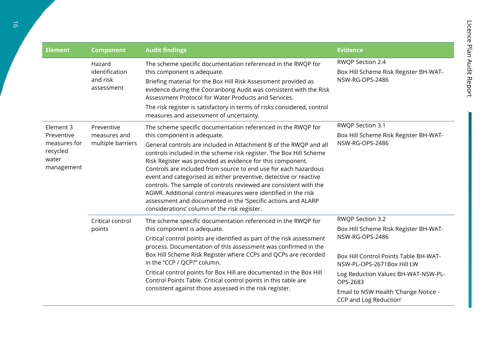| <b>Element</b>                                  | <b>Component</b>                                   | <b>Audit findings</b>                                                                                                                                                                                                                                                                                                                                                                                                                                                                                                                                                                               | <b>Evidence</b>                                                              |
|-------------------------------------------------|----------------------------------------------------|-----------------------------------------------------------------------------------------------------------------------------------------------------------------------------------------------------------------------------------------------------------------------------------------------------------------------------------------------------------------------------------------------------------------------------------------------------------------------------------------------------------------------------------------------------------------------------------------------------|------------------------------------------------------------------------------|
|                                                 | Hazard<br>identification<br>and risk<br>assessment | The scheme specific documentation referenced in the RWQP for<br>this component is adequate.<br>Briefing material for the Box Hill Risk Assessment provided as<br>evidence during the Cooranbong Audit was consistent with the Risk<br>Assessment Protocol for Water Products and Services.<br>The risk register is satisfactory in terms of risks considered, control<br>measures and assessment of uncertainty.                                                                                                                                                                                    | RWQP Section 2.4<br>Box Hill Scheme Risk Register BH-WAT-<br>NSW-RG-OPS-2486 |
| Element 3                                       | Preventive                                         | The scheme specific documentation referenced in the RWQP for                                                                                                                                                                                                                                                                                                                                                                                                                                                                                                                                        | RWQP Section 3.1                                                             |
| Preventive                                      | measures and                                       | this component is adequate.                                                                                                                                                                                                                                                                                                                                                                                                                                                                                                                                                                         | Box Hill Scheme Risk Register BH-WAT-                                        |
| measures for<br>recycled<br>water<br>management | multiple barriers                                  | General controls are included in Attachment B of the RWQP and all<br>controls included in the scheme risk register. The Box Hill Scheme<br>Risk Register was provided as evidence for this component.<br>Controls are included from source to end use for each hazardous<br>event and categorised as either preventive, detective or reactive<br>controls. The sample of controls reviewed are consistent with the<br>AGWR. Additional control measures were identified in the risk<br>assessment and documented in the 'Specific actions and ALARP<br>considerations' column of the risk register. | NSW-RG-OPS-2486                                                              |
|                                                 | Critical control<br>points                         | The scheme specific documentation referenced in the RWQP for                                                                                                                                                                                                                                                                                                                                                                                                                                                                                                                                        | RWQP Section 3.2                                                             |
|                                                 |                                                    | this component is adequate.<br>Critical control points are identified as part of the risk assessment<br>process. Documentation of this assessment was confirmed in the                                                                                                                                                                                                                                                                                                                                                                                                                              | Box Hill Scheme Risk Register BH-WAT-<br>NSW-RG-OPS-2486                     |
|                                                 |                                                    | Box Hill Scheme Risk Register where CCPs and QCPs are recorded<br>in the "CCP / QCP?" column.                                                                                                                                                                                                                                                                                                                                                                                                                                                                                                       | Box Hill Control Points Table BH-WAT-<br>NSW-PL-OPS-2671Box Hill LW          |
|                                                 |                                                    | Critical control points for Box Hill are documented in the Box Hill<br>Control Points Table. Critical control points in this table are<br>consistent against those assessed in the risk register.                                                                                                                                                                                                                                                                                                                                                                                                   | Log Reduction Values BH-WAT-NSW-PL-<br>OPS-2683                              |
|                                                 |                                                    |                                                                                                                                                                                                                                                                                                                                                                                                                                                                                                                                                                                                     | Email to NSW Health 'Change Notice -<br>CCP and Log Reduction'               |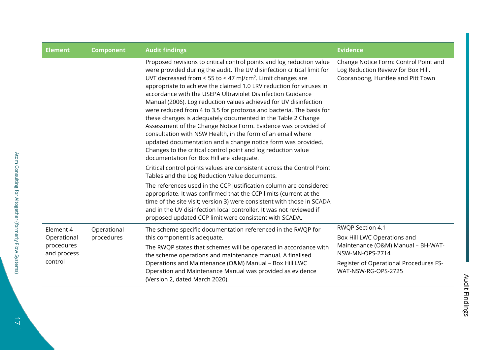| <b>Element</b>                       | <b>Component</b>          | <b>Audit findings</b>                                                                                                                                                                                                                                                                                                                                                                                                                                                                                                                                                                                                                                                                                                                                                                                                                                                                    | <b>Evidence</b>                                                                                                  |
|--------------------------------------|---------------------------|------------------------------------------------------------------------------------------------------------------------------------------------------------------------------------------------------------------------------------------------------------------------------------------------------------------------------------------------------------------------------------------------------------------------------------------------------------------------------------------------------------------------------------------------------------------------------------------------------------------------------------------------------------------------------------------------------------------------------------------------------------------------------------------------------------------------------------------------------------------------------------------|------------------------------------------------------------------------------------------------------------------|
|                                      |                           | Proposed revisions to critical control points and log reduction value<br>were provided during the audit. The UV disinfection critical limit for<br>UVT decreased from < 55 to < 47 mJ/cm <sup>2</sup> . Limit changes are<br>appropriate to achieve the claimed 1.0 LRV reduction for viruses in<br>accordance with the USEPA Ultraviolet Disinfection Guidance<br>Manual (2006). Log reduction values achieved for UV disinfection<br>were reduced from 4 to 3.5 for protozoa and bacteria. The basis for<br>these changes is adequately documented in the Table 2 Change<br>Assessment of the Change Notice Form. Evidence was provided of<br>consultation with NSW Health, in the form of an email where<br>updated documentation and a change notice form was provided.<br>Changes to the critical control point and log reduction value<br>documentation for Box Hill are adequate. | Change Notice Form: Control Point and<br>Log Reduction Review for Box Hill,<br>Cooranbong, Huntlee and Pitt Town |
|                                      |                           | Critical control points values are consistent across the Control Point<br>Tables and the Log Reduction Value documents.                                                                                                                                                                                                                                                                                                                                                                                                                                                                                                                                                                                                                                                                                                                                                                  |                                                                                                                  |
|                                      |                           | The references used in the CCP justification column are considered<br>appropriate. It was confirmed that the CCP limits (current at the<br>time of the site visit; version 3) were consistent with those in SCADA<br>and in the UV disinfection local controller. It was not reviewed if<br>proposed updated CCP limit were consistent with SCADA.                                                                                                                                                                                                                                                                                                                                                                                                                                                                                                                                       |                                                                                                                  |
| Element 4<br>Operational             | Operational<br>procedures | The scheme specific documentation referenced in the RWQP for<br>this component is adequate.                                                                                                                                                                                                                                                                                                                                                                                                                                                                                                                                                                                                                                                                                                                                                                                              | RWQP Section 4.1<br>Box Hill LWC Operations and                                                                  |
| procedures<br>and process<br>control |                           | The RWQP states that schemes will be operated in accordance with<br>the scheme operations and maintenance manual. A finalised<br>Operations and Maintenance (O&M) Manual - Box Hill LWC<br>Operation and Maintenance Manual was provided as evidence<br>(Version 2, dated March 2020).                                                                                                                                                                                                                                                                                                                                                                                                                                                                                                                                                                                                   | Maintenance (O&M) Manual - BH-WAT-<br>NSW-MN-OPS-2714                                                            |
|                                      |                           |                                                                                                                                                                                                                                                                                                                                                                                                                                                                                                                                                                                                                                                                                                                                                                                                                                                                                          | Register of Operational Procedures FS-<br>WAT-NSW-RG-OPS-2725                                                    |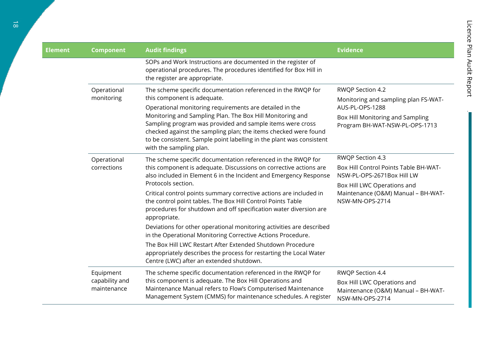.

| <b>Element</b> | <b>Component</b>                           | <b>Audit findings</b>                                                                                                                                                                                                                                                                                                                                                                                                                                                                                                                                                                                                                                                                                                                                                         | <b>Evidence</b>                                                                                                                                                                 |
|----------------|--------------------------------------------|-------------------------------------------------------------------------------------------------------------------------------------------------------------------------------------------------------------------------------------------------------------------------------------------------------------------------------------------------------------------------------------------------------------------------------------------------------------------------------------------------------------------------------------------------------------------------------------------------------------------------------------------------------------------------------------------------------------------------------------------------------------------------------|---------------------------------------------------------------------------------------------------------------------------------------------------------------------------------|
|                |                                            | SOPs and Work Instructions are documented in the register of<br>operational procedures. The procedures identified for Box Hill in<br>the register are appropriate.                                                                                                                                                                                                                                                                                                                                                                                                                                                                                                                                                                                                            |                                                                                                                                                                                 |
|                | Operational<br>monitoring                  | The scheme specific documentation referenced in the RWQP for<br>this component is adequate.<br>Operational monitoring requirements are detailed in the<br>Monitoring and Sampling Plan. The Box Hill Monitoring and<br>Sampling program was provided and sample items were cross<br>checked against the sampling plan; the items checked were found<br>to be consistent. Sample point labelling in the plant was consistent<br>with the sampling plan.                                                                                                                                                                                                                                                                                                                        | RWQP Section 4.2<br>Monitoring and sampling plan FS-WAT-<br>AUS-PL-OPS-1288<br>Box Hill Monitoring and Sampling<br>Program BH-WAT-NSW-PL-OPS-1713                               |
|                | Operational<br>corrections                 | The scheme specific documentation referenced in the RWQP for<br>this component is adequate. Discussions on corrective actions are<br>also included in Element 6 in the Incident and Emergency Response<br>Protocols section.<br>Critical control points summary corrective actions are included in<br>the control point tables. The Box Hill Control Points Table<br>procedures for shutdown and off specification water diversion are<br>appropriate.<br>Deviations for other operational monitoring activities are described<br>in the Operational Monitoring Corrective Actions Procedure.<br>The Box Hill LWC Restart After Extended Shutdown Procedure<br>appropriately describes the process for restarting the Local Water<br>Centre (LWC) after an extended shutdown. | RWQP Section 4.3<br>Box Hill Control Points Table BH-WAT-<br>NSW-PL-OPS-2671Box Hill LW<br>Box Hill LWC Operations and<br>Maintenance (O&M) Manual - BH-WAT-<br>NSW-MN-OPS-2714 |
|                | Equipment<br>capability and<br>maintenance | The scheme specific documentation referenced in the RWQP for<br>this component is adequate. The Box Hill Operations and<br>Maintenance Manual refers to Flow's Computerised Maintenance<br>Management System (CMMS) for maintenance schedules. A register                                                                                                                                                                                                                                                                                                                                                                                                                                                                                                                     | RWQP Section 4.4<br>Box Hill LWC Operations and<br>Maintenance (O&M) Manual - BH-WAT-<br>NSW-MN-OPS-2714                                                                        |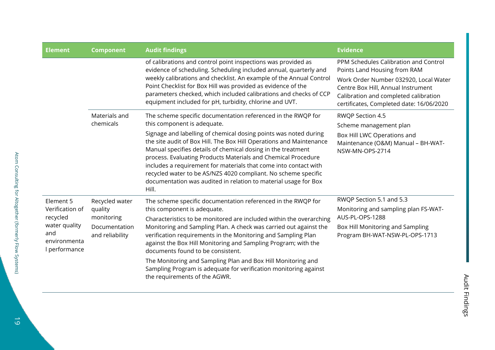| <b>Element</b>                                                                       | <b>Component</b>                 | <b>Audit findings</b>                                                                                                                                                                                                                                                                                                                                                                                                                                                                      | <b>Evidence</b>                                                                                                                                                                                                                           |
|--------------------------------------------------------------------------------------|----------------------------------|--------------------------------------------------------------------------------------------------------------------------------------------------------------------------------------------------------------------------------------------------------------------------------------------------------------------------------------------------------------------------------------------------------------------------------------------------------------------------------------------|-------------------------------------------------------------------------------------------------------------------------------------------------------------------------------------------------------------------------------------------|
|                                                                                      |                                  | of calibrations and control point inspections was provided as<br>evidence of scheduling. Scheduling included annual, quarterly and<br>weekly calibrations and checklist. An example of the Annual Control<br>Point Checklist for Box Hill was provided as evidence of the<br>parameters checked, which included calibrations and checks of CCP<br>equipment included for pH, turbidity, chlorine and UVT.                                                                                  | PPM Schedules Calibration and Control<br>Points Land Housing from RAM<br>Work Order Number 032920, Local Water<br>Centre Box Hill, Annual Instrument<br>Calibration and completed calibration<br>certificates, Completed date: 16/06/2020 |
|                                                                                      | Materials and<br>chemicals       | The scheme specific documentation referenced in the RWQP for<br>this component is adequate.                                                                                                                                                                                                                                                                                                                                                                                                | <b>RWQP Section 4.5</b><br>Scheme management plan                                                                                                                                                                                         |
|                                                                                      |                                  | Signage and labelling of chemical dosing points was noted during<br>the site audit of Box Hill. The Box Hill Operations and Maintenance<br>Manual specifies details of chemical dosing in the treatment<br>process. Evaluating Products Materials and Chemical Procedure<br>includes a requirement for materials that come into contact with<br>recycled water to be AS/NZS 4020 compliant. No scheme specific<br>documentation was audited in relation to material usage for Box<br>Hill. | Box Hill LWC Operations and<br>Maintenance (O&M) Manual - BH-WAT-<br>NSW-MN-OPS-2714                                                                                                                                                      |
| Element 5                                                                            | Recycled water                   | The scheme specific documentation referenced in the RWQP for                                                                                                                                                                                                                                                                                                                                                                                                                               | RWQP Section 5.1 and 5.3                                                                                                                                                                                                                  |
| Verification of<br>recycled<br>water quality<br>and<br>environmenta<br>I performance | quality<br>monitoring            | this component is adequate.<br>Characteristics to be monitored are included within the overarching                                                                                                                                                                                                                                                                                                                                                                                         | Monitoring and sampling plan FS-WAT-<br>AUS-PL-OPS-1288                                                                                                                                                                                   |
|                                                                                      | Documentation<br>and reliability | Monitoring and Sampling Plan. A check was carried out against the<br>verification requirements in the Monitoring and Sampling Plan<br>against the Box Hill Monitoring and Sampling Program; with the<br>documents found to be consistent.                                                                                                                                                                                                                                                  | Box Hill Monitoring and Sampling<br>Program BH-WAT-NSW-PL-OPS-1713                                                                                                                                                                        |
|                                                                                      |                                  | The Monitoring and Sampling Plan and Box Hill Monitoring and<br>Sampling Program is adequate for verification monitoring against<br>the requirements of the AGWR.                                                                                                                                                                                                                                                                                                                          |                                                                                                                                                                                                                                           |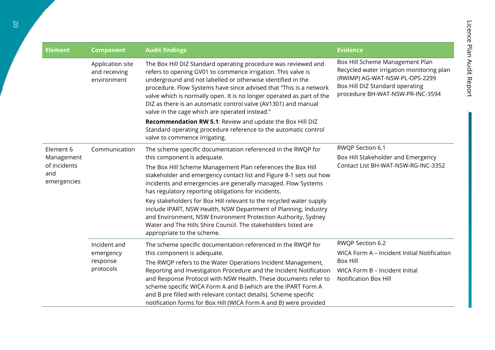.

| <b>Element</b>                                                | <b>Component</b>                                   | <b>Audit findings</b>                                                                                                                                                                                                                                                                                                                                                                                                                                                                                                                                                                                                                                               | <b>Evidence</b>                                                                                                                                                                       |
|---------------------------------------------------------------|----------------------------------------------------|---------------------------------------------------------------------------------------------------------------------------------------------------------------------------------------------------------------------------------------------------------------------------------------------------------------------------------------------------------------------------------------------------------------------------------------------------------------------------------------------------------------------------------------------------------------------------------------------------------------------------------------------------------------------|---------------------------------------------------------------------------------------------------------------------------------------------------------------------------------------|
|                                                               | Application site<br>and receiving<br>environment   | The Box Hill DIZ Standard operating procedure was reviewed and<br>refers to opening GV01 to commence irrigation. This valve is<br>underground and not labelled or otherwise identified in the<br>procedure. Flow Systems have since advised that "This is a network<br>valve which is normally open. It is no longer operated as part of the<br>DIZ as there is an automatic control valve (AV1301) and manual<br>valve in the cage which are operated instead."<br>Recommendation RW 5.1: Review and update the Box Hill DIZ<br>Standard operating procedure reference to the automatic control<br>valve to commence irrigating.                                   | Box Hill Scheme Management Plan<br>Recycled water irrigation monitoring plan<br>(RWIMP) AG-WAT-NSW-PL-OPS-2299<br>Box Hill DIZ Standard operating<br>procedure BH-WAT-NSW-PR-INC-3594 |
| Element 6<br>Management<br>of incidents<br>and<br>emergencies | Communication                                      | The scheme specific documentation referenced in the RWQP for<br>this component is adequate.<br>The Box Hill Scheme Management Plan references the Box Hill<br>stakeholder and emergency contact list and Figure 8-1 sets out how<br>incidents and emergencies are generally managed. Flow Systems<br>has regulatory reporting obligations for incidents.<br>Key stakeholders for Box Hill relevant to the recycled water supply<br>include IPART, NSW Health, NSW Department of Planning, Industry<br>and Environment, NSW Environment Protection Authority, Sydney<br>Water and The Hills Shire Council. The stakeholders listed are<br>appropriate to the scheme. | RWQP Section 6.1<br>Box Hill Stakeholder and Emergency<br>Contact List BH-WAT-NSW-RG-INC-3352                                                                                         |
|                                                               | Incident and<br>emergency<br>response<br>protocols | The scheme specific documentation referenced in the RWQP for<br>this component is adequate.<br>The RWQP refers to the Water Operations Incident Management,<br>Reporting and Investigation Procedure and the Incident Notification<br>and Response Protocol with NSW Health. These documents refer to<br>scheme specific WICA Form A and B (which are the IPART Form A<br>and B pre filled with relevant contact details). Scheme specific<br>notification forms for Box Hill (WICA Form A and B) were provided                                                                                                                                                     | RWQP Section 6.2<br>WICA Form A - Incident Initial Notification<br><b>Box Hill</b><br>WICA Form B - Incident Initial<br><b>Notification Box Hill</b>                                  |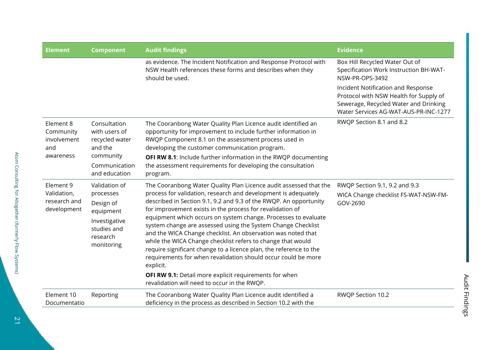| <b>Element</b>                                            | <b>Component</b>                                                                                          | <b>Audit findings</b>                                                                                                                                                                                                                                                                                                                                                                                                                                                                                                                                                                                                 | <b>Evidence</b>                                                                                                                                                                                                      |
|-----------------------------------------------------------|-----------------------------------------------------------------------------------------------------------|-----------------------------------------------------------------------------------------------------------------------------------------------------------------------------------------------------------------------------------------------------------------------------------------------------------------------------------------------------------------------------------------------------------------------------------------------------------------------------------------------------------------------------------------------------------------------------------------------------------------------|----------------------------------------------------------------------------------------------------------------------------------------------------------------------------------------------------------------------|
|                                                           |                                                                                                           | as evidence. The Incident Notification and Response Protocol with<br>NSW Health references these forms and describes when they<br>should be used.                                                                                                                                                                                                                                                                                                                                                                                                                                                                     | Box Hill Recycled Water Out of<br>Specification Work Instruction BH-WAT-<br>NSW-PR-OPS-3492<br>Incident Notification and Response<br>Protocol with NSW Health for Supply of<br>Sewerage, Recycled Water and Drinking |
|                                                           |                                                                                                           |                                                                                                                                                                                                                                                                                                                                                                                                                                                                                                                                                                                                                       | Water Services AG-WAT-AUS-PR-INC-1277                                                                                                                                                                                |
| Element 8<br>Community<br>involvement<br>and<br>awareness | Consultation<br>with users of<br>recycled water<br>and the<br>community<br>Communication<br>and education | The Cooranbong Water Quality Plan Licence audit identified an<br>opportunity for improvement to include further information in<br>RWQP Component 8.1 on the assessment process used in<br>developing the customer communication program.<br>OFI RW 8.1: Include further information in the RWQP documenting<br>the assessment requirements for developing the consultation<br>program.                                                                                                                                                                                                                                | RWQP Section 8.1 and 8.2                                                                                                                                                                                             |
| Element 9                                                 | Validation of                                                                                             | The Cooranbong Water Quality Plan Licence audit assessed that the                                                                                                                                                                                                                                                                                                                                                                                                                                                                                                                                                     | RWQP Section 9.1, 9.2 and 9.3                                                                                                                                                                                        |
| Validation,<br>research and<br>development                | processes<br>Design of<br>equipment<br>Investigative<br>studies and<br>research<br>monitoring             | process for validation, research and development is adequately<br>described in Section 9.1, 9.2 and 9.3 of the RWQP. An opportunity<br>for improvement exists in the process for revalidation of<br>equipment which occurs on system change. Processes to evaluate<br>system change are assessed using the System Change Checklist<br>and the WICA Change checklist. An observation was noted that<br>while the WICA Change checklist refers to change that would<br>require significant change to a licence plan, the reference to the<br>requirements for when revalidation should occur could be more<br>explicit. | WICA Change checklist FS-WAT-NSW-FM-<br>GOV-2690                                                                                                                                                                     |
|                                                           |                                                                                                           | OFI RW 9.1: Detail more explicit requirements for when<br>revalidation will need to occur in the RWQP.                                                                                                                                                                                                                                                                                                                                                                                                                                                                                                                |                                                                                                                                                                                                                      |
| Element 10<br>Documentatio                                | Reporting                                                                                                 | The Cooranbong Water Quality Plan Licence audit identified a<br>deficiency in the process as described in Section 10.2 with the                                                                                                                                                                                                                                                                                                                                                                                                                                                                                       | RWQP Section 10.2                                                                                                                                                                                                    |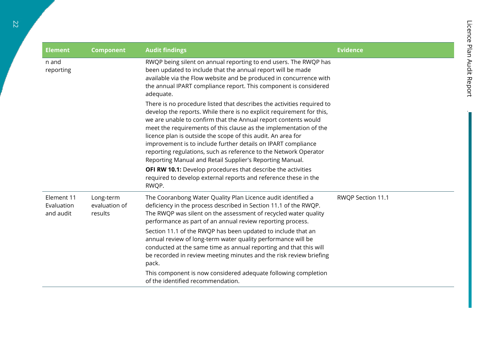| <b>Element</b>                        | <b>Component</b>                      | <b>Audit findings</b>                                                                                                                                                                                                                                                                                                                                                                                                                                                                                                                                   | <b>Evidence</b>   |
|---------------------------------------|---------------------------------------|---------------------------------------------------------------------------------------------------------------------------------------------------------------------------------------------------------------------------------------------------------------------------------------------------------------------------------------------------------------------------------------------------------------------------------------------------------------------------------------------------------------------------------------------------------|-------------------|
| n and<br>reporting                    |                                       | RWQP being silent on annual reporting to end users. The RWQP has<br>been updated to include that the annual report will be made<br>available via the Flow website and be produced in concurrence with<br>the annual IPART compliance report. This component is considered<br>adequate.                                                                                                                                                                                                                                                                  |                   |
|                                       |                                       | There is no procedure listed that describes the activities required to<br>develop the reports. While there is no explicit requirement for this,<br>we are unable to confirm that the Annual report contents would<br>meet the requirements of this clause as the implementation of the<br>licence plan is outside the scope of this audit. An area for<br>improvement is to include further details on IPART compliance<br>reporting regulations, such as reference to the Network Operator<br>Reporting Manual and Retail Supplier's Reporting Manual. |                   |
|                                       |                                       | <b>OFI RW 10.1:</b> Develop procedures that describe the activities<br>required to develop external reports and reference these in the<br>RWQP.                                                                                                                                                                                                                                                                                                                                                                                                         |                   |
| Element 11<br>Evaluation<br>and audit | Long-term<br>evaluation of<br>results | The Cooranbong Water Quality Plan Licence audit identified a<br>deficiency in the process described in Section 11.1 of the RWQP.<br>The RWQP was silent on the assessment of recycled water quality<br>performance as part of an annual review reporting process.                                                                                                                                                                                                                                                                                       | RWQP Section 11.1 |
|                                       |                                       | Section 11.1 of the RWQP has been updated to include that an<br>annual review of long-term water quality performance will be<br>conducted at the same time as annual reporting and that this will<br>be recorded in review meeting minutes and the risk review briefing<br>pack.                                                                                                                                                                                                                                                                        |                   |
|                                       |                                       | This component is now considered adequate following completion<br>of the identified recommendation.                                                                                                                                                                                                                                                                                                                                                                                                                                                     |                   |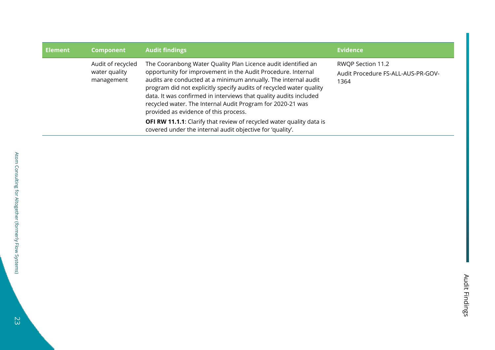| <b>Element</b> | <b>Component</b>                                 | <b>Audit findings</b>                                                                                                                                                                                                                                                                                                                                                                                                                              | <b>Evidence</b>                                                 |
|----------------|--------------------------------------------------|----------------------------------------------------------------------------------------------------------------------------------------------------------------------------------------------------------------------------------------------------------------------------------------------------------------------------------------------------------------------------------------------------------------------------------------------------|-----------------------------------------------------------------|
|                | Audit of recycled<br>water quality<br>management | The Cooranbong Water Quality Plan Licence audit identified an<br>opportunity for improvement in the Audit Procedure. Internal<br>audits are conducted at a minimum annually. The internal audit<br>program did not explicitly specify audits of recycled water quality<br>data. It was confirmed in interviews that quality audits included<br>recycled water. The Internal Audit Program for 2020-21 was<br>provided as evidence of this process. | RWQP Section 11.2<br>Audit Procedure FS-ALL-AUS-PR-GOV-<br>1364 |
|                |                                                  | <b>OFI RW 11.1.1:</b> Clarify that review of recycled water quality data is<br>covered under the internal audit objective for 'quality'.                                                                                                                                                                                                                                                                                                           |                                                                 |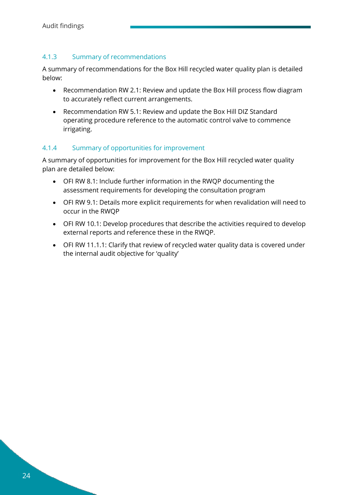#### <span id="page-25-0"></span>4.1.3 Summary of recommendations

A summary of recommendations for the Box Hill recycled water quality plan is detailed below:

- Recommendation RW 2.1: Review and update the Box Hill process flow diagram to accurately reflect current arrangements.
- Recommendation RW 5.1: Review and update the Box Hill DIZ Standard operating procedure reference to the automatic control valve to commence irrigating.

#### <span id="page-25-1"></span>4.1.4 Summary of opportunities for improvement

A summary of opportunities for improvement for the Box Hill recycled water quality plan are detailed below:

- OFI RW 8.1: Include further information in the RWQP documenting the assessment requirements for developing the consultation program
- OFI RW 9.1: Details more explicit requirements for when revalidation will need to occur in the RWQP
- OFI RW 10.1: Develop procedures that describe the activities required to develop external reports and reference these in the RWQP.
- OFI RW 11.1.1: Clarify that review of recycled water quality data is covered under the internal audit objective for 'quality'